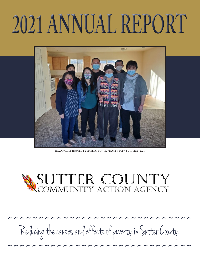# 2021 ANNUAL REPORT



THAO FAMILY HOUSED BY HABITAT FOR HUMANITY YURA-SUTTER IN 2021

# SUTTER COUNTY<br>COMMUNITY ACTION AGENCY

Reducing the causes and effects of poverty in Sutter County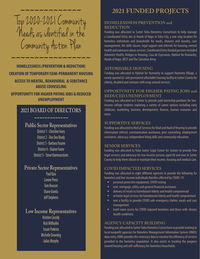Top 2020-2021 C ommunity Needs as identified in the Community Action Plan ˜˜˜˜˜˜˜˜˜˜˜˜˜

˜˜˜˜˜˜˜˜˜˜˜˜˜˜˜˜˜ **HOMELESSNESS (PREVENTION & REDUCTION) CREATION OF TEMPORARY/SEMI-PERMANENT HOUSING ACCESS TO MENTAL, BEHAVIORAL & SUBSTANCE ABUSE COUNSELING**

**OPPORTUNITY FOR HIGHER PAYING JOBS & REDUCED UNEMPLOYMENT**

# **2021 BOARD OF DIRECTORS**

#### **NNNNNNNNNNNN**

# **Public Sector Representatives**

District 1 - Christine Ivory District 2 - Dee Dee Brady District 3 - Barbara Fasano District 4 - Sharon Foote District 5 - Steve Hammarstrom

### **Private Sector Representatives**

Paul Basi Lonnie Perez Tom Reusser Diane Uutela Jeff Stephens

# **Low Income Representatives**

Kristine Cassidy Rick Millhollin Susan Podesta Michelle Downing Julius Murphy

# **2021 FUNDED PROJECTS**

### **HOMELESSNESS PREVENTION and REDUCTION**

Funding was allocated to Sutter Yuba Homeless Consortium to help manage a Coordinated Entry site at Hands of Hope in Yuba City, a one-stop location for homeless individuals and households for meals, showers and laundry, case management, life skills classes, legal support and referrals for housing, mental health and substance abuse services. Coordinated Entry funded partners included Adventist Health, Bridges to Housing, Casa de Esperanza, Habitat for Humanity, Hands of Hope, REST and The Salvation Army.

### **AFFORDABLE HOUSING**

Funding was allocated to Habitat for Humanity to support Harmony Village, a newly opened 62-unit permanent affordable housing facility in Sutter County for elderly, disabled and veterans with wrap around services.

### **OPPORTUNITY FOR HIGHER PAYING JOBS and REDUCED UNEMPLOYMENT**

Funding was allocated to E Center to provide paid internship positions for lowincome college students exploring a variety of career options including early childcare, marketing, business development, finance, human resources and more.

#### **SUPPORTIVE SERVICES**

Funding was allocated to NorCal Services for Deaf and Hard of Hearing to provide information referral, communication assistance, peer counseling, employment assistance, advocacy, independent living skills and community education.

### **SENIOR SERVICES**

Funding was allocated to Yuba-Sutter Legal Center for Seniors to provide free legal services and advocacy for low-income persons aged 60 and over in Sutter County to help them obtain or maintain their income, housing and medical care.

#### **COVID IMPACTED SERVICES**

Funding was allocated to eight different agencies to provide the following for homeless and low-income individuals/families affected by COVID-19:

- personal protective equipment, COVID testing
- **F** rent, mortgage, utility and general financial assistance
- delivery of meals to homebound elderly and health compromised
- at home legal services for homebound elderly and health compromised
- rent a facility to provide COVID safe emergency shelter, meals and case management
- **n** hotel room access for COVID exposed homeless and those with chronic health conditions

#### **AGENCY CAPACITY BUILDING**

Funding was allocated to Sutter Yuba Homeless Consortium to provide training to local nonprofit agencies for Homeless Management Information System (HMIS) data entry. HMIS provides the necessary data to monitor the efficiency of services provided to the homeless population. It also assists in tracking the progress toward housing and self-sufficiency for homeless households.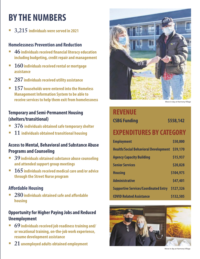# **BY THE NUMBERS**

**3,215 individuals were served in 2021**

### **Homelessness Prevention and Reduction**

- **46 individuals received financial literacy education including budgeting, credit repair and management**
- **160individuals received rental or mortgage assistance**
- **287 individuals received utility assistance**
- **157 households were entered into the Homeless Management Information System to be able to receive services to help them exit from homelessness**

## **Temporary and Semi-Permanent Housing (shelters/transitional)**

- **376 individuals obtained safe temporary shelter**
- **11 individuals obtained transitional housing**

### **Access to Mental, Behavioral and Substance Abuse Programs and Counseling**

- **39individuals obtained substance abuse counseling and attended support group meetings**
- **165 individuals received medical care and/or advice through the Street Nurse program**

### **Affordable Housing**

 **280 individuals obtained safe and affordable housing**

# **Opportunity for Higher Paying Jobs and Reduced Unemployment**

- **69 individuals received job readiness training and/ or vocational training, on-the-job work experience, resume development assistance**
- **21 unemployed adults obtained employment**



Move in day at Harmony Village

# **REVENUE**

# **CSBG Funding \$558,142 EXPENDITURES BY CATEGORY**

| <b>Employment</b>                            | \$50,000  |
|----------------------------------------------|-----------|
| <b>Health/Social Behavioral Development</b>  | \$59,170  |
| <b>Agency Capacity Building</b>              | \$15,937  |
| <b>Senior Services</b>                       | \$20,828  |
| <b>Housing</b>                               | \$104,975 |
| <b>Administrative</b>                        | \$47,401  |
| <b>Supportive Services/Coordinated Entry</b> | \$127,326 |
| <b>COVID Related Assistance</b>              | \$132,505 |



Move in day at Harmony Village